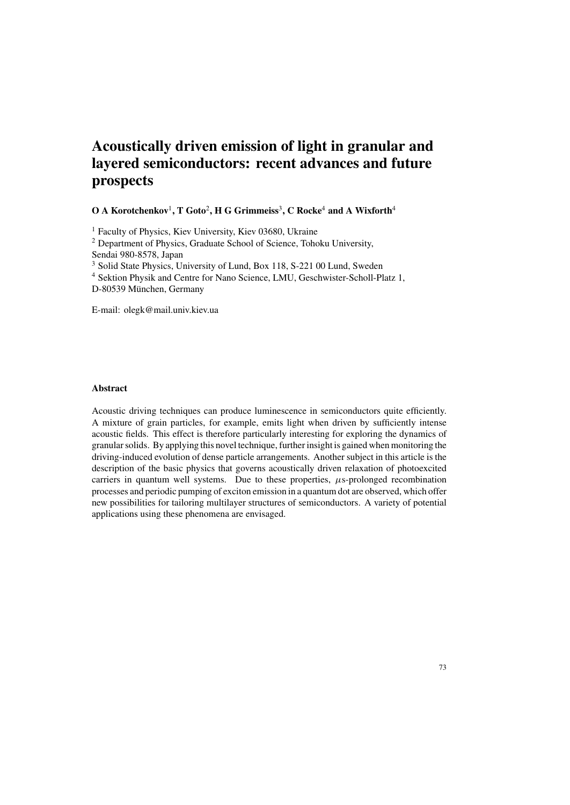# **Acoustically driven emission of light in granular and layered semiconductors: recent advances and future prospects**

## **O A Korotchenkov** 1 **, T Goto** 2 **, H G Grimmeiss** 3 **, C Rocke** <sup>4</sup> **and A Wixforth** 4

<sup>1</sup> Faculty of Physics, Kiev University, Kiev 03680, Ukraine <sup>2</sup> Department of Physics, Graduate School of Science, Tohoku University, Sendai 980-8578, Japan <sup>3</sup> Solid State Physics, University of Lund, Box 118, S-221 00 Lund, Sweden <sup>4</sup> Sektion Physik and Centre for Nano Science, LMU, Geschwister-Scholl-Platz 1, D-80539 München, Germany

E-mail: olegk@mail.univ.kiev.ua

## **Abstract**

Acoustic driving techniques can produce luminescence in semiconductors quite efficiently. A mixture of grain particles, for example, emits light when driven by sufficiently intense acoustic fields. This effect is therefore particularly interesting for exploring the dynamics of granularsolids. By applying this novel technique, furtherinsight is gained when monitoring the driving-induced evolution of dense particle arrangements. Another subject in this article is the description of the basic physics that governs acoustically driven relaxation of photoexcited carriers in quantum well systems. Due to these properties,  $\mu$ s-prolonged recombination processes and periodic pumping of exciton emission in a quantum dot are observed, which offer new possibilities for tailoring multilayer structures of semiconductors. A variety of potential applications using these phenomena are envisaged.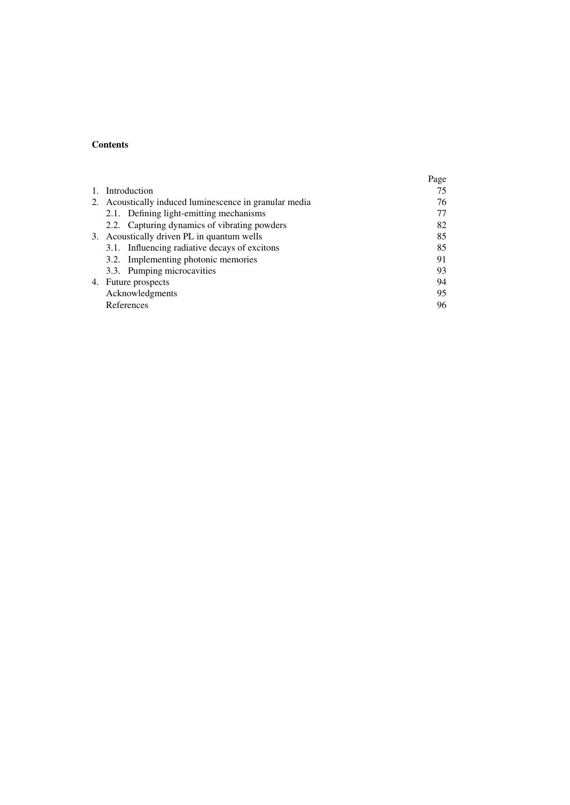# **Contents**

|    |                                                        | Page |
|----|--------------------------------------------------------|------|
| 1. | Introduction                                           | 75   |
|    | 2. Acoustically induced luminescence in granular media | 76   |
|    | 2.1. Defining light-emitting mechanisms                |      |
|    | 2.2. Capturing dynamics of vibrating powders           | 82   |
|    | 3. Acoustically driven PL in quantum wells             | 85   |
|    | 3.1. Influencing radiative decays of excitons          | 85   |
|    | 3.2. Implementing photonic memories                    | 91   |
|    | 3.3. Pumping microcavities                             | 93   |
|    | 4. Future prospects                                    | 94   |
|    | Acknowledgments                                        | 95   |
|    | References                                             | 96   |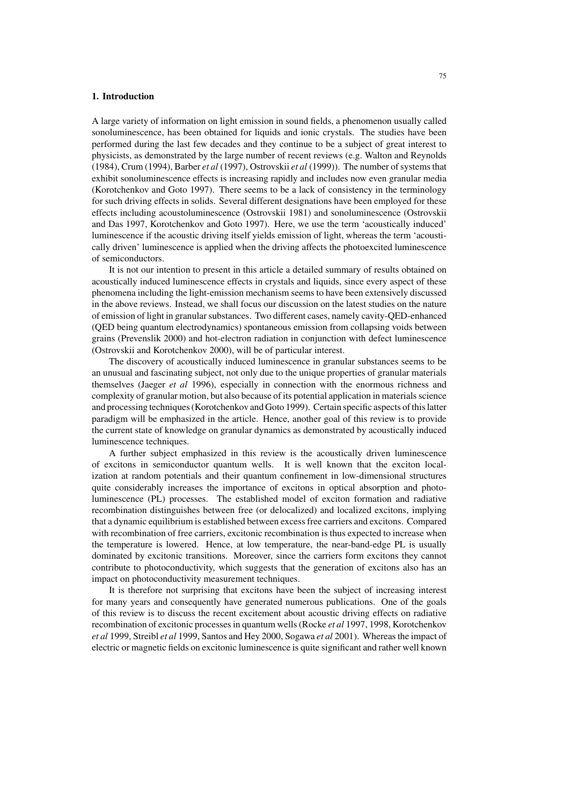#### **1. Introduction**

A large variety of information on light emission in sound fields, a phenomenon usually called sonoluminescence, has been obtained for liquids and ionic crystals. The studies have been performed during the last few decades and they continue to be a subject of great interest to physicists, as demonstrated by the large number of recent reviews (e.g. Walton and Reynolds (1984), Crum (1994), Barber *et al* (1997), Ostrovskii *et al* (1999)). The number ofsystemsthat exhibit sonoluminescence effects is increasing rapidly and includes now even granular media (Korotchenkov and Goto 1997). There seems to be a lack of consistency in the terminology for such driving effects in solids. Several different designations have been employed for these effects including acoustoluminescence (Ostrovskii 1981) and sonoluminescence (Ostrovskii and Das 1997, Korotchenkov and Goto 1997). Here, we use the term 'acoustically induced' luminescence if the acoustic driving itself yields emission of light, whereas the term 'acoustically driven' luminescence is applied when the driving affects the photoexcited luminescence of semiconductors.

It is not our intention to present in this article a detailed summary of results obtained on acoustically induced luminescence effects in crystals and liquids, since every aspect of these phenomena including the light-emission mechanism seems to have been extensively discussed in the above reviews. Instead, we shall focus our discussion on the latest studies on the nature of emission of light in granularsubstances. Two different cases, namely cavity-QED-enhanced (QED being quantum electrodynamics) spontaneous emission from collapsing voids between grains (Prevenslik 2000) and hot-electron radiation in conjunction with defect luminescence (Ostrovskii and Korotchenkov 2000), will be of particular interest.

The discovery of acoustically induced luminescence in granular substances seems to be an unusual and fascinating subject, not only due to the unique properties of granular materials themselves (Jaeger *et al* 1996), especially in connection with the enormous richness and complexity of granular motion, but also because of its potential application in materialsscience and processing techniques(Korotchenkov and Goto 1999). Certain specific aspects ofthislatter paradigm will be emphasized in the article. Hence, another goal of this review is to provide the current state of knowledge on granular dynamics as demonstrated by acoustically induced luminescence techniques.

A further subject emphasized in this review is the acoustically driven luminescence of excitons in semiconductor quantum wells. It is well known that the exciton localization at random potentials and their quantum confinement in low-dimensional structures quite considerably increases the importance of excitons in optical absorption and photoluminescence (PL) processes. The established model of exciton formation and radiative recombination distinguishes between free (or delocalized) and localized excitons, implying that a dynamic equilibrium is established between excessfree carriers and excitons. Compared with recombination of free carriers, excitonic recombination is thus expected to increase when the temperature is lowered. Hence, at low temperature, the near-band-edge PL is usually dominated by excitonic transitions. Moreover, since the carriers form excitons they cannot contribute to photoconductivity, which suggests that the generation of excitons also has an impact on photoconductivity measurement techniques.

It is therefore not surprising that excitons have been the subject of increasing interest for many years and consequently have generated numerous publications. One of the goals of this review is to discuss the recent excitement about acoustic driving effects on radiative recombination of excitonic processesin quantum wells(Rocke *et al* 1997, 1998, Korotchenkov *et al* 1999, Streibl *et al* 1999, Santos and Hey 2000, Sogawa *et al* 2001). Whereasthe impact of electric or magnetic fields on excitonic luminescence is quite significant and rather well known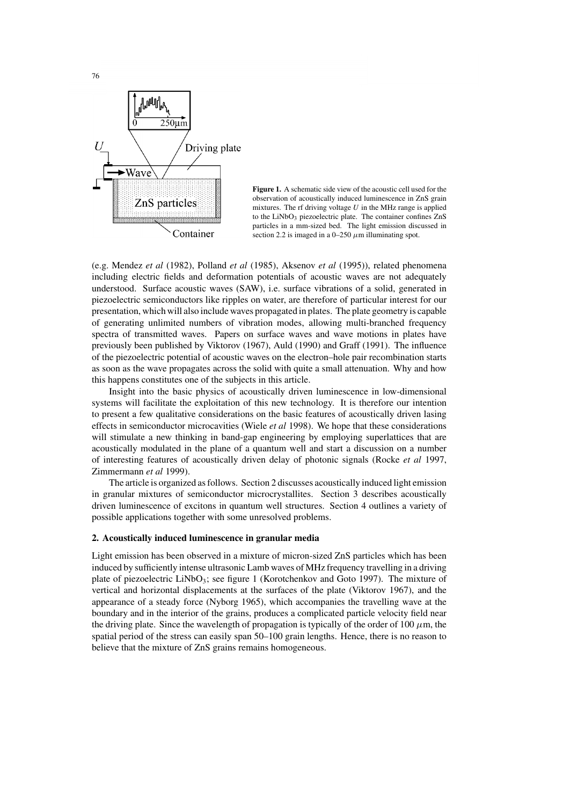

**Figure 1.** A schematic side view of the acoustic cell used for the observation of acoustically induced luminescence in ZnS grain mixtures. The rf driving voltage  $U$  in the MHz range is applied to the LiNbO<sub>3</sub> piezoelectric plate. The container confines ZnS particles in a mm-sized bed. The light emission discussed in section 2.2 is imaged in a 0–250  $\mu$ m illuminating spot.

(e.g. Mendez *et al* (1982), Polland *et al* (1985), Aksenov *et al* (1995)), related phenomena including electric fields and deformation potentials of acoustic waves are not adequately understood. Surface acoustic waves (SAW), i.e. surface vibrations of a solid, generated in piezoelectric semiconductors like ripples on water, are therefore of particular interest for our presentation, which will also include waves propagated in plates. The plate geometry is capable of generating unlimited numbers of vibration modes, allowing multi-branched frequency spectra of transmitted waves. Papers on surface waves and wave motions in plates have previously been published by Viktorov (1967), Auld (1990) and Graff (1991). The influence of the piezoelectric potential of acoustic waves on the electron–hole pair recombination starts as soon as the wave propagates across the solid with quite a small attenuation. Why and how this happens constitutes one of the subjects in this article.

Insight into the basic physics of acoustically driven luminescence in low-dimensional systems will facilitate the exploitation of this new technology. It is therefore our intention to present a few qualitative considerations on the basic features of acoustically driven lasing effects in semiconductor microcavities (Wiele *et al* 1998). We hope that these considerations will stimulate a new thinking in band-gap engineering by employing superlattices that are acoustically modulated in the plane of a quantum well and start a discussion on a number of interesting features of acoustically driven delay of photonic signals (Rocke *et al* 1997, Zimmermann *et al* 1999).

The article is organized asfollows. Section 2 discusses acoustically induced light emission in granular mixtures of semiconductor microcrystallites. Section 3 describes acoustically driven luminescence of excitons in quantum well structures. Section 4 outlines a variety of possible applications together with some unresolved problems.

#### **2. Acoustically induced luminescence in granular media**

Light emission has been observed in a mixture of micron-sized ZnS particles which has been induced by sufficiently intense ultrasonic Lamb waves of MHz frequency travelling in a driving plate of piezoelectric LiNbO<sub>3</sub>; see figure 1 (Korotchenkov and Goto 1997). The mixture of vertical and horizontal displacements at the surfaces of the plate (Viktorov 1967), and the appearance of a steady force (Nyborg 1965), which accompanies the travelling wave at the boundary and in the interior of the grains, produces a complicated particle velocity field near the driving plate. Since the wavelength of propagation is typically of the order of 100  $\mu$ m, the spatial period of the stress can easily span 50–100 grain lengths. Hence, there is no reason to believe that the mixture of ZnS grains remains homogeneous.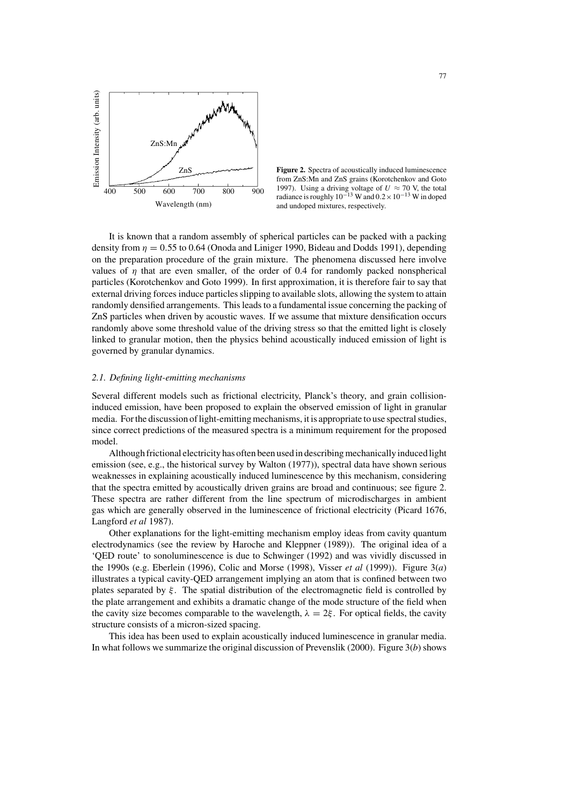

**Figure 2.** Spectra of acoustically induced luminescence from ZnS:Mn and ZnS grains (Korotchenkov and Goto 1997). Using a driving voltage of  $U \approx 70$  V, the total radiance is roughly  $10^{-13}$  W and  $0.2 \times 10^{-13}$  W in doped and undoped mixtures, respectively.

It is known that a random assembly of spherical particles can be packed with a packing density from  $\eta = 0.55$  to 0.64 (Onoda and Liniger 1990, Bideau and Dodds 1991), depending on the preparation procedure of the grain mixture. The phenomena discussed here involve values of  $\eta$  that are even smaller, of the order of 0.4 for randomly packed nonspherical particles (Korotchenkov and Goto 1999). In first approximation, it is therefore fair to say that external driving forces induce particles slipping to available slots, allowing the system to attain randomly densified arrangements. This leads to a fundamental issue concerning the packing of ZnS particles when driven by acoustic waves. If we assume that mixture densification occurs randomly above some threshold value of the driving stress so that the emitted light is closely linked to granular motion, then the physics behind acoustically induced emission of light is governed by granular dynamics.

#### *2.1. Defining light-emitting mechanisms*

Several different models such as frictional electricity, Planck's theory, and grain collisioninduced emission, have been proposed to explain the observed emission of light in granular media. For the discussion of light-emitting mechanisms, it is appropriate to use spectral studies, since correct predictions of the measured spectra is a minimum requirement for the proposed model.

Although frictional electricity has often been used in describingmechanically induced light emission (see, e.g., the historical survey by Walton (1977)), spectral data have shown serious weaknesses in explaining acoustically induced luminescence by this mechanism, considering that the spectra emitted by acoustically driven grains are broad and continuous; see figure 2. These spectra are rather different from the line spectrum of microdischarges in ambient gas which are generally observed in the luminescence of frictional electricity (Picard 1676, Langford *et al* 1987).

Other explanations for the light-emitting mechanism employ ideas from cavity quantum electrodynamics (see the review by Haroche and Kleppner (1989)). The original idea of a 'QED route' to sonoluminescence is due to Schwinger (1992) and was vividly discussed in the 1990s (e.g. Eberlein (1996), Colic and Morse (1998), Visser *et al* (1999)). Figure 3(*a*) illustrates a typical cavity-QED arrangement implying an atom that is confined between two plates separated by  $\xi$ . The spatial distribution of the electromagnetic field is controlled by the plate arrangement and exhibits a dramatic change of the mode structure of the field when the cavity size becomes comparable to the wavelength,  $\lambda = 2\xi$ . For optical fields, the cavity structure consists of a micron-sized spacing.

This idea has been used to explain acoustically induced luminescence in granular media. In what follows we summarize the original discussion of Prevenslik (2000). Figure 3(*b*) shows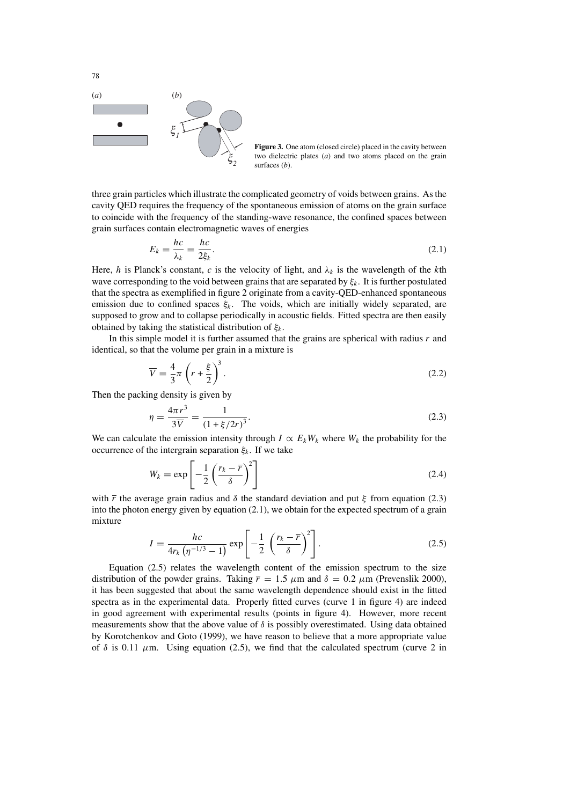

**Figure 3.** One atom (closed circle) placed in the cavity between two dielectric plates (*a*) and two atoms placed on the grain surfaces (*b*).

three grain particles which illustrate the complicated geometry of voids between grains. Asthe cavity QED requires the frequency of the spontaneous emission of atoms on the grain surface to coincide with the frequency of the standing-wave resonance, the confined spaces between grain surfaces contain electromagnetic waves of energies

$$
E_k = \frac{hc}{\lambda_k} = \frac{hc}{2\xi_k}.\tag{2.1}
$$

Here, h is Planck's constant, c is the velocity of light, and  $\lambda_k$  is the wavelength of the kth wave corresponding to the void between grains that are separated by  $\xi_k$ . It is further postulated that the spectra as exemplified in figure 2 originate from a cavity-QED-enhanced spontaneous emission due to confined spaces  $\xi_k$ . The voids, which are initially widely separated, are supposed to grow and to collapse periodically in acoustic fields. Fitted spectra are then easily obtained by taking the statistical distribution of  $\xi_k$ .

In this simple model it is further assumed that the grains are spherical with radius r and identical, so that the volume per grain in a mixture is

$$
\overline{V} = \frac{4}{3}\pi \left(r + \frac{\xi}{2}\right)^3.
$$
\n(2.2)

Then the packing density is given by

$$
\eta = \frac{4\pi r^3}{3\overline{V}} = \frac{1}{\left(1 + \xi/2r\right)^3}.
$$
\n(2.3)

We can calculate the emission intensity through  $I \propto E_k W_k$  where  $W_k$  the probability for the occurrence of the intergrain separation  $\xi_k$ . If we take

$$
W_k = \exp\left[-\frac{1}{2}\left(\frac{r_k - \overline{r}}{\delta}\right)^2\right]
$$
 (2.4)

with  $\bar{r}$  the average grain radius and  $\delta$  the standard deviation and put  $\xi$  from equation (2.3) into the photon energy given by equation (2.1), we obtain for the expected spectrum of a grain mixture

$$
I = \frac{hc}{4r_k \left(\eta^{-1/3} - 1\right)} \exp\left[-\frac{1}{2} \left(\frac{r_k - \overline{r}}{\delta}\right)^2\right].
$$
 (2.5)

Equation (2.5) relates the wavelength content of the emission spectrum to the size distribution of the powder grains. Taking  $\bar{r} = 1.5 \mu m$  and  $\delta = 0.2 \mu m$  (Prevenslik 2000), it has been suggested that about the same wavelength dependence should exist in the fitted spectra as in the experimental data. Properly fitted curves (curve 1 in figure 4) are indeed in good agreement with experimental results (points in figure 4). However, more recent measurements show that the above value of  $\delta$  is possibly overestimated. Using data obtained by Korotchenkov and Goto (1999), we have reason to believe that a more appropriate value of  $\delta$  is 0.11  $\mu$ m. Using equation (2.5), we find that the calculated spectrum (curve 2 in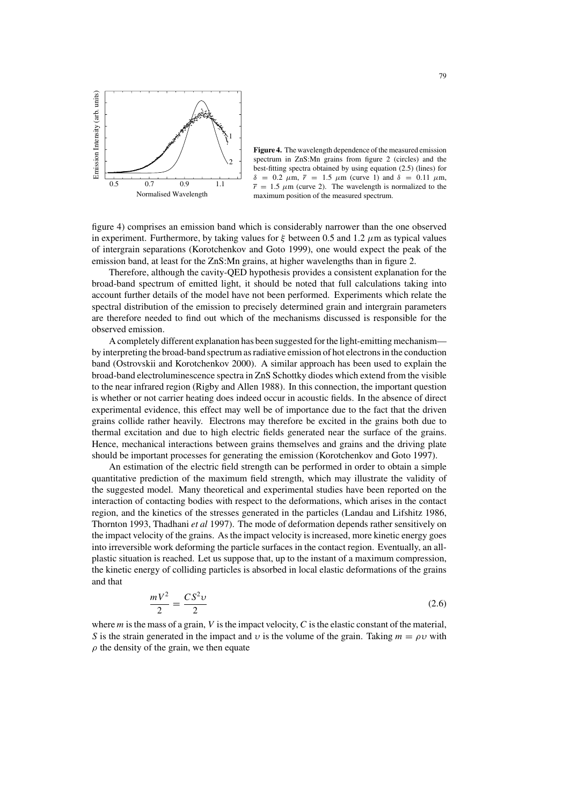

**Figure 4.** The wavelength dependence of the measured emission spectrum in ZnS:Mn grains from figure 2 (circles) and the best-fitting spectra obtained by using equation (2.5) (lines) for  $\delta$  = 0.2  $\mu$ m,  $\bar{r}$  = 1.5  $\mu$ m (curve 1) and  $\delta$  = 0.11  $\mu$ m,  $\bar{r}$  = 1.5  $\mu$ m (curve 2). The wavelength is normalized to the maximum position of the measured spectrum.

figure 4) comprises an emission band which is considerably narrower than the one observed in experiment. Furthermore, by taking values for  $\xi$  between 0.5 and 1.2  $\mu$ m as typical values of intergrain separations (Korotchenkov and Goto 1999), one would expect the peak of the emission band, at least for the ZnS:Mn grains, at higher wavelengths than in figure 2.

Therefore, although the cavity-QED hypothesis provides a consistent explanation for the broad-band spectrum of emitted light, it should be noted that full calculations taking into account further details of the model have not been performed. Experiments which relate the spectral distribution of the emission to precisely determined grain and intergrain parameters are therefore needed to find out which of the mechanisms discussed is responsible for the observed emission.

A completely different explanation has been suggested forthe light-emitting mechanism by interpreting the broad-band spectrum asradiative emission of hot electronsin the conduction band (Ostrovskii and Korotchenkov 2000). A similar approach has been used to explain the broad-band electroluminescence spectra in ZnS Schottky diodes which extend from the visible to the near infrared region (Rigby and Allen 1988). In this connection, the important question is whether or not carrier heating does indeed occur in acoustic fields. In the absence of direct experimental evidence, this effect may well be of importance due to the fact that the driven grains collide rather heavily. Electrons may therefore be excited in the grains both due to thermal excitation and due to high electric fields generated near the surface of the grains. Hence, mechanical interactions between grains themselves and grains and the driving plate should be important processes for generating the emission (Korotchenkov and Goto 1997).

An estimation of the electric field strength can be performed in order to obtain a simple quantitative prediction of the maximum field strength, which may illustrate the validity of the suggested model. Many theoretical and experimental studies have been reported on the interaction of contacting bodies with respect to the deformations, which arises in the contact region, and the kinetics of the stresses generated in the particles (Landau and Lifshitz 1986, Thornton 1993, Thadhani *et al* 1997). The mode of deformation depends rather sensitively on the impact velocity of the grains. Asthe impact velocity isincreased, more kinetic energy goes into irreversible work deforming the particle surfaces in the contact region. Eventually, an allplastic situation is reached. Let us suppose that, up to the instant of a maximum compression, the kinetic energy of colliding particles is absorbed in local elastic deformations of the grains and that

$$
\frac{mV^2}{2} = \frac{CS^2v}{2}
$$
 (2.6)

where  $m$  is the mass of a grain,  $V$  is the impact velocity,  $C$  is the elastic constant of the material, S is the strain generated in the impact and v is the volume of the grain. Taking  $m = \rho v$  with  $\rho$  the density of the grain, we then equate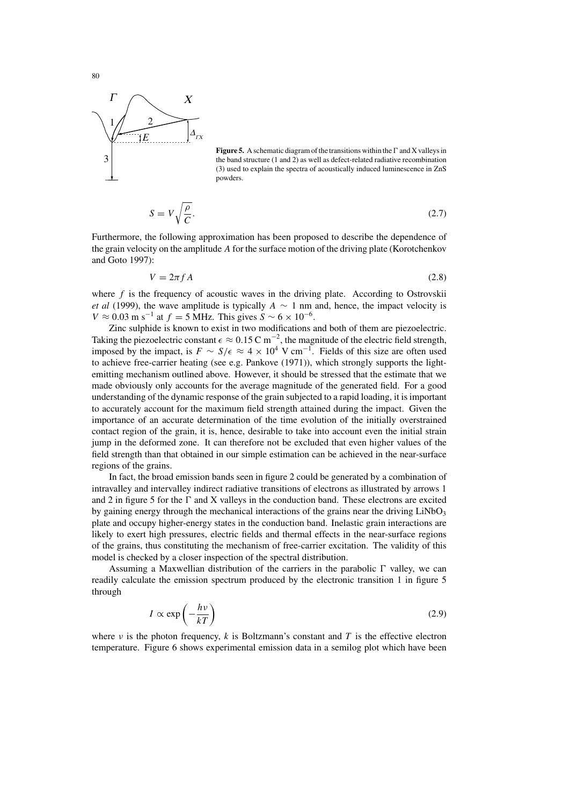

**Figure 5.** A schematic diagram of the transitions within the  $\Gamma$  and X valleys in the band structure (1 and 2) as well as defect-related radiative recombination (3) used to explain the spectra of acoustically induced luminescence in ZnS powders.

$$
S = V \sqrt{\frac{\rho}{C}}.\tag{2.7}
$$

Furthermore, the following approximation has been proposed to describe the dependence of the grain velocity on the amplitude A for the surface motion of the driving plate (Korotchenkov and Goto 1997):

$$
V = 2\pi f A \tag{2.8}
$$

where  $f$  is the frequency of acoustic waves in the driving plate. According to Ostrovskii *et al* (1999), the wave amplitude is typically  $A \sim 1$  nm and, hence, the impact velocity is  $V \approx 0.03$  m s<sup>-1</sup> at  $f = 5$  MHz. This gives  $S \sim 6 \times 10^{-6}$ .

Zinc sulphide is known to exist in two modifications and both of them are piezoelectric. Taking the piezoelectric constant  $\epsilon \approx 0.15 \text{ C m}^{-2}$ , the magnitude of the electric field strength, imposed by the impact, is  $F \sim S/\epsilon \approx 4 \times 10^4$  V cm<sup>-1</sup>. Fields of this size are often used to achieve free-carrier heating (see e.g. Pankove (1971)), which strongly supports the lightemitting mechanism outlined above. However, it should be stressed that the estimate that we made obviously only accounts for the average magnitude of the generated field. For a good understanding of the dynamic response of the grain subjected to a rapid loading, it is important to accurately account for the maximum field strength attained during the impact. Given the importance of an accurate determination of the time evolution of the initially overstrained contact region of the grain, it is, hence, desirable to take into account even the initial strain jump in the deformed zone. It can therefore not be excluded that even higher values of the field strength than that obtained in our simple estimation can be achieved in the near-surface regions of the grains.

In fact, the broad emission bands seen in figure 2 could be generated by a combination of intravalley and intervalley indirect radiative transitions of electrons as illustrated by arrows 1 and 2 in figure 5 for the  $\Gamma$  and X valleys in the conduction band. These electrons are excited by gaining energy through the mechanical interactions of the grains near the driving  $LiNbO<sub>3</sub>$ plate and occupy higher-energy states in the conduction band. Inelastic grain interactions are likely to exert high pressures, electric fields and thermal effects in the near-surface regions of the grains, thus constituting the mechanism of free-carrier excitation. The validity of this model is checked by a closer inspection of the spectral distribution.

Assuming a Maxwellian distribution of the carriers in the parabolic  $\Gamma$  valley, we can readily calculate the emission spectrum produced by the electronic transition 1 in figure 5 through

$$
I \propto \exp\left(-\frac{h\nu}{kT}\right) \tag{2.9}
$$

where  $\nu$  is the photon frequency, k is Boltzmann's constant and T is the effective electron temperature. Figure 6 shows experimental emission data in a semilog plot which have been

80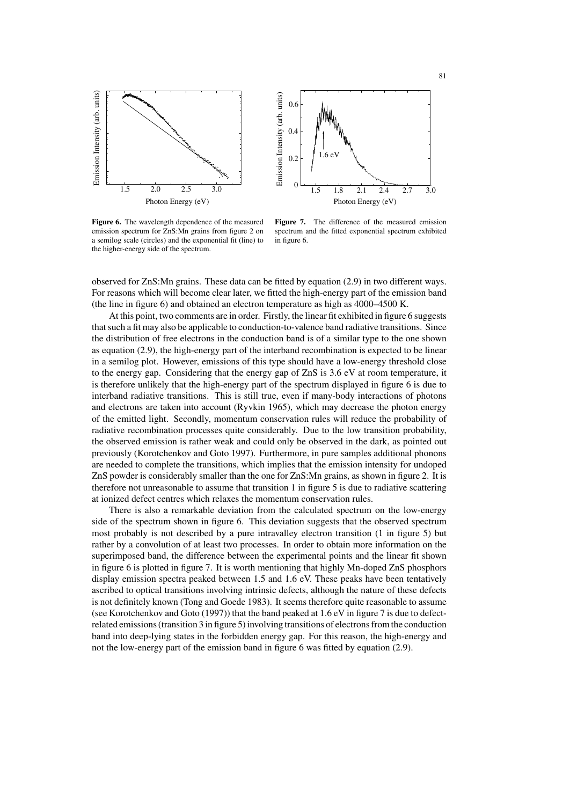



**Figure 6.** The wavelength dependence of the measured emission spectrum for ZnS:Mn grains from figure 2 on a semilog scale (circles) and the exponential fit (line) to the higher-energy side of the spectrum.

**Figure 7.** The difference of the measured emission spectrum and the fitted exponential spectrum exhibited in figure 6.

observed for ZnS:Mn grains. These data can be fitted by equation (2.9) in two different ways. For reasons which will become clear later, we fitted the high-energy part of the emission band (the line in figure 6) and obtained an electron temperature as high as 4000–4500 K.

At this point, two comments are in order. Firstly, the linear fit exhibited in figure 6 suggests thatsuch a fit may also be applicable to conduction-to-valence band radiative transitions. Since the distribution of free electrons in the conduction band is of a similar type to the one shown as equation (2.9), the high-energy part of the interband recombination is expected to be linear in a semilog plot. However, emissions of this type should have a low-energy threshold close to the energy gap. Considering that the energy gap of ZnS is 3.6 eV at room temperature, it is therefore unlikely that the high-energy part of the spectrum displayed in figure 6 is due to interband radiative transitions. This is still true, even if many-body interactions of photons and electrons are taken into account (Ryvkin 1965), which may decrease the photon energy of the emitted light. Secondly, momentum conservation rules will reduce the probability of radiative recombination processes quite considerably. Due to the low transition probability, the observed emission is rather weak and could only be observed in the dark, as pointed out previously (Korotchenkov and Goto 1997). Furthermore, in pure samples additional phonons are needed to complete the transitions, which implies that the emission intensity for undoped ZnS powder is considerably smaller than the one for ZnS:Mn grains, as shown in figure 2. It is therefore not unreasonable to assume that transition 1 in figure 5 is due to radiative scattering at ionized defect centres which relaxes the momentum conservation rules.

There is also a remarkable deviation from the calculated spectrum on the low-energy side of the spectrum shown in figure 6. This deviation suggests that the observed spectrum most probably is not described by a pure intravalley electron transition (1 in figure 5) but rather by a convolution of at least two processes. In order to obtain more information on the superimposed band, the difference between the experimental points and the linear fit shown in figure 6 is plotted in figure 7. It is worth mentioning that highly Mn-doped ZnS phosphors display emission spectra peaked between 1.5 and 1.6 eV. These peaks have been tentatively ascribed to optical transitions involving intrinsic defects, although the nature of these defects is not definitely known (Tong and Goede 1983). It seems therefore quite reasonable to assume (see Korotchenkov and Goto (1997)) that the band peaked at 1.6 eV in figure 7 is due to defectrelated emissions (transition 3 in figure 5) involving transitions of electrons from the conduction band into deep-lying states in the forbidden energy gap. For this reason, the high-energy and not the low-energy part of the emission band in figure 6 was fitted by equation (2.9).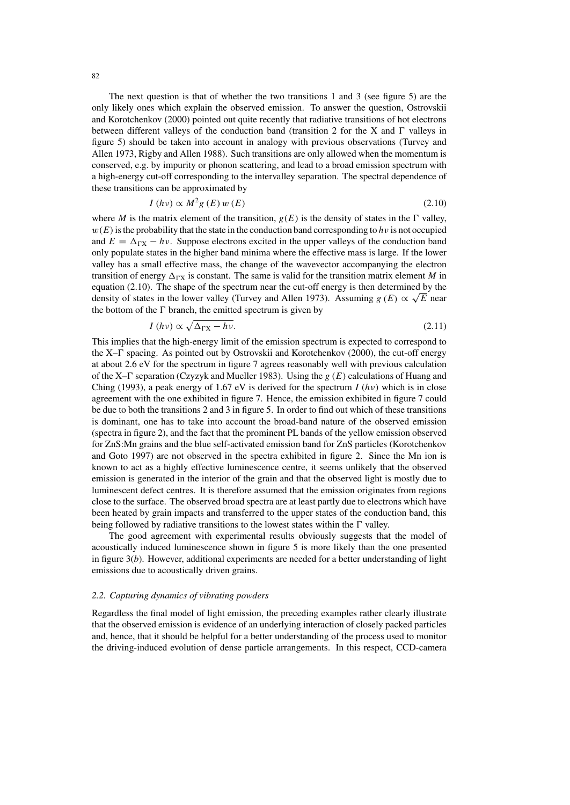The next question is that of whether the two transitions 1 and 3 (see figure 5) are the only likely ones which explain the observed emission. To answer the question, Ostrovskii and Korotchenkov (2000) pointed out quite recently that radiative transitions of hot electrons between different valleys of the conduction band (transition 2 for the X and  $\Gamma$  valleys in figure 5) should be taken into account in analogy with previous observations (Turvey and Allen 1973, Rigby and Allen 1988). Such transitions are only allowed when the momentum is conserved, e.g. by impurity or phonon scattering, and lead to a broad emission spectrum with a high-energy cut-off corresponding to the intervalley separation. The spectral dependence of these transitions can be approximated by

$$
I(hv) \propto M^2 g(E) w(E) \tag{2.10}
$$

where M is the matrix element of the transition,  $g(E)$  is the density of states in the  $\Gamma$  valley,  $w(E)$  is the probability that the state in the conduction band corresponding to h v is not occupied and  $E = \Delta_{\text{rx}} - h\nu$ . Suppose electrons excited in the upper valleys of the conduction band only populate states in the higher band minima where the effective mass is large. If the lower valley has a small effective mass, the change of the wavevector accompanying the electron transition of energy  $\Delta_{\Gamma X}$  is constant. The same is valid for the transition matrix element M in equation (2.10). The shape of the spectrum near the cut-off energy is then determined by the density of states in the lower valley (Turvey and Allen 1973). Assuming  $g(E) \propto \sqrt{E}$  near the bottom of the  $\Gamma$  branch, the emitted spectrum is given by

$$
I(hv) \propto \sqrt{\Delta_{\text{FX}} - hv}.\tag{2.11}
$$

This implies that the high-energy limit of the emission spectrum is expected to correspond to the  $X-\Gamma$  spacing. As pointed out by Ostrovskii and Korotchenkov (2000), the cut-off energy at about 2.6 eV for the spectrum in figure 7 agrees reasonably well with previous calculation of the X– $\Gamma$  separation (Czyzyk and Mueller 1983). Using the  $g(E)$  calculations of Huang and Ching (1993), a peak energy of 1.67 eV is derived for the spectrum  $I(h\nu)$  which is in close agreement with the one exhibited in figure 7. Hence, the emission exhibited in figure 7 could be due to both the transitions 2 and 3 in figure 5. In order to find out which of these transitions is dominant, one has to take into account the broad-band nature of the observed emission (spectra in figure 2), and the fact that the prominent PL bands of the yellow emission observed for ZnS:Mn grains and the blue self-activated emission band for ZnS particles (Korotchenkov and Goto 1997) are not observed in the spectra exhibited in figure 2. Since the Mn ion is known to act as a highly effective luminescence centre, it seems unlikely that the observed emission is generated in the interior of the grain and that the observed light is mostly due to luminescent defect centres. It is therefore assumed that the emission originates from regions close to the surface. The observed broad spectra are at least partly due to electrons which have been heated by grain impacts and transferred to the upper states of the conduction band, this being followed by radiative transitions to the lowest states within the  $\Gamma$  valley.

The good agreement with experimental results obviously suggests that the model of acoustically induced luminescence shown in figure 5 is more likely than the one presented in figure 3(*b*). However, additional experiments are needed for a better understanding of light emissions due to acoustically driven grains.

#### *2.2. Capturing dynamics of vibrating powders*

Regardless the final model of light emission, the preceding examples rather clearly illustrate that the observed emission is evidence of an underlying interaction of closely packed particles and, hence, that it should be helpful for a better understanding of the process used to monitor the driving-induced evolution of dense particle arrangements. In this respect, CCD-camera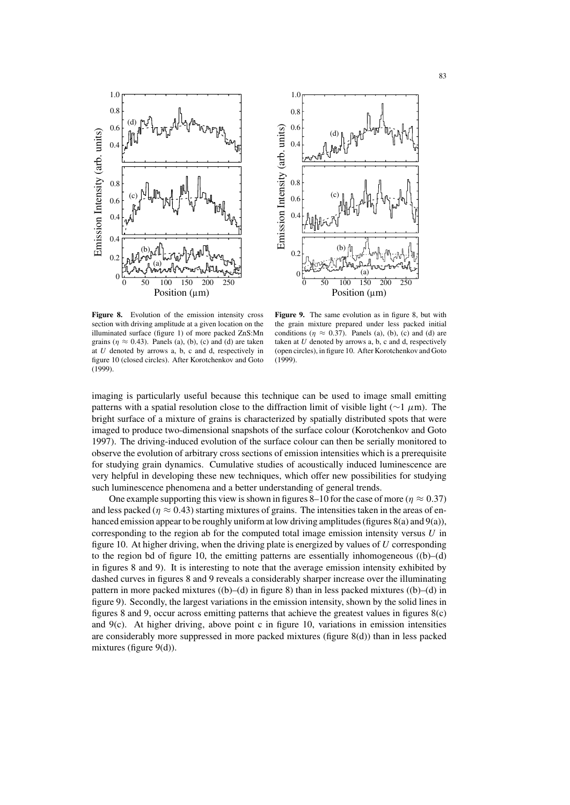



**Figure 8.** Evolution of the emission intensity cross section with driving amplitude at a given location on the illuminated surface (figure 1) of more packed ZnS:Mn grains ( $\eta \approx 0.43$ ). Panels (a), (b), (c) and (d) are taken at  $U$  denoted by arrows a, b, c and d, respectively in figure 10 (closed circles). After Korotchenkov and Goto (1999).

**Figure 9.** The same evolution as in figure 8, but with the grain mixture prepared under less packed initial conditions ( $\eta \approx 0.37$ ). Panels (a), (b), (c) and (d) are taken at  $U$  denoted by arrows a, b, c and d, respectively (open circles), in figure 10. After Korotchenkov and Goto (1999).

imaging is particularly useful because this technique can be used to image small emitting patterns with a spatial resolution close to the diffraction limit of visible light ( $\sim$ 1  $\mu$ m). The bright surface of a mixture of grains is characterized by spatially distributed spots that were imaged to produce two-dimensional snapshots of the surface colour (Korotchenkov and Goto 1997). The driving-induced evolution of the surface colour can then be serially monitored to observe the evolution of arbitrary cross sections of emission intensities which is a prerequisite for studying grain dynamics. Cumulative studies of acoustically induced luminescence are very helpful in developing these new techniques, which offer new possibilities for studying such luminescence phenomena and a better understanding of general trends.

One example supporting this view is shown in figures 8–10 for the case of more ( $\eta \approx 0.37$ ) and less packed ( $\eta \approx 0.43$ ) starting mixtures of grains. The intensities taken in the areas of enhanced emission appear to be roughly uniform at low driving amplitudes (figures  $8(a)$  and  $9(a)$ ), corresponding to the region ab for the computed total image emission intensity versus  $U$  in figure 10. At higher driving, when the driving plate is energized by values of  $U$  corresponding to the region bd of figure 10, the emitting patterns are essentially inhomogeneous  $((b)–(d)$ in figures 8 and 9). It is interesting to note that the average emission intensity exhibited by dashed curves in figures 8 and 9 reveals a considerably sharper increase over the illuminating pattern in more packed mixtures ((b)–(d) in figure 8) than in less packed mixtures ((b)–(d) in figure 9). Secondly, the largest variations in the emission intensity, shown by the solid lines in figures 8 and 9, occur across emitting patterns that achieve the greatest values in figures 8(c) and  $9(c)$ . At higher driving, above point c in figure 10, variations in emission intensities are considerably more suppressed in more packed mixtures (figure 8(d)) than in less packed mixtures (figure 9(d)).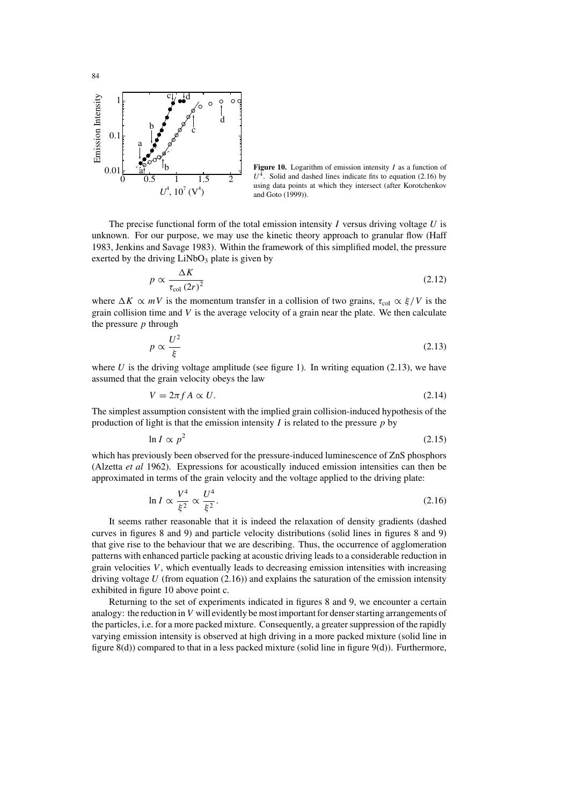

**Figure 10.** Logarithm of emission intensity I as a function of  $U<sup>4</sup>$ . Solid and dashed lines indicate fits to equation (2.16) by using data points at which they intersect (after Korotchenkov and Goto (1999)).

The precise functional form of the total emission intensity  $I$  versus driving voltage  $U$  is unknown. For our purpose, we may use the kinetic theory approach to granular flow (Haff 1983, Jenkins and Savage 1983). Within the framework of this simplified model, the pressure exerted by the driving  $LiNbO<sub>3</sub>$  plate is given by

$$
p \propto \frac{\Delta K}{\tau_{\text{col}} \left(2r\right)^2} \tag{2.12}
$$

where  $\Delta K \propto mV$  is the momentum transfer in a collision of two grains,  $\tau_{\text{col}} \propto \xi/V$  is the grain collision time and  $V$  is the average velocity of a grain near the plate. We then calculate the pressure  $p$  through

$$
p \propto \frac{U^2}{\xi} \tag{2.13}
$$

where U is the driving voltage amplitude (see figure 1). In writing equation (2.13), we have assumed that the grain velocity obeys the law

$$
V = 2\pi f A \propto U. \tag{2.14}
$$

The simplest assumption consistent with the implied grain collision-induced hypothesis of the production of light is that the emission intensity  $I$  is related to the pressure  $p$  by

$$
\ln I \propto p^2 \tag{2.15}
$$

which has previously been observed for the pressure-induced luminescence of ZnS phosphors (Alzetta *et al* 1962). Expressions for acoustically induced emission intensities can then be approximated in terms of the grain velocity and the voltage applied to the driving plate:

$$
\ln I \propto \frac{V^4}{\xi^2} \propto \frac{U^4}{\xi^2}.\tag{2.16}
$$

It seems rather reasonable that it is indeed the relaxation of density gradients (dashed curves in figures 8 and 9) and particle velocity distributions (solid lines in figures 8 and 9) that give rise to the behaviour that we are describing. Thus, the occurrence of agglomeration patterns with enhanced particle packing at acoustic driving leads to a considerable reduction in grain velocities  $V$ , which eventually leads to decreasing emission intensities with increasing driving voltage  $U$  (from equation (2.16)) and explains the saturation of the emission intensity exhibited in figure 10 above point c.

Returning to the set of experiments indicated in figures 8 and 9, we encounter a certain analogy: the reduction in  $V$  will evidently be most important for denser starting arrangements of the particles, i.e. for a more packed mixture. Consequently, a greatersuppression of the rapidly varying emission intensity is observed at high driving in a more packed mixture (solid line in figure  $8(d)$ ) compared to that in a less packed mixture (solid line in figure  $9(d)$ ). Furthermore,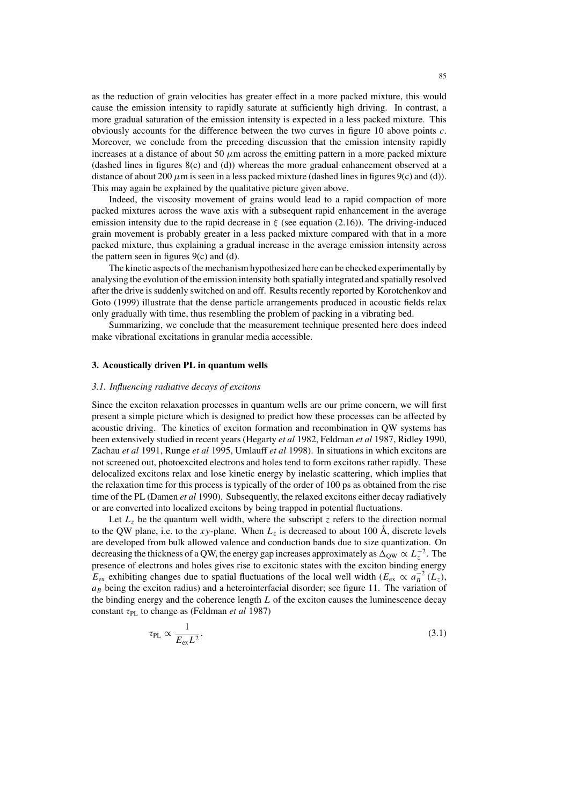as the reduction of grain velocities has greater effect in a more packed mixture, this would cause the emission intensity to rapidly saturate at sufficiently high driving. In contrast, a more gradual saturation of the emission intensity is expected in a less packed mixture. This obviously accounts for the difference between the two curves in figure 10 above points  $c$ . Moreover, we conclude from the preceding discussion that the emission intensity rapidly increases at a distance of about 50  $\mu$ m across the emitting pattern in a more packed mixture (dashed lines in figures 8(c) and (d)) whereas the more gradual enhancement observed at a distance of about 200  $\mu$ m is seen in a less packed mixture (dashed lines in figures 9(c) and (d)). This may again be explained by the qualitative picture given above.

Indeed, the viscosity movement of grains would lead to a rapid compaction of more packed mixtures across the wave axis with a subsequent rapid enhancement in the average emission intensity due to the rapid decrease in  $\xi$  (see equation (2.16)). The driving-induced grain movement is probably greater in a less packed mixture compared with that in a more packed mixture, thus explaining a gradual increase in the average emission intensity across the pattern seen in figures  $9(c)$  and (d).

The kinetic aspects of the mechanism hypothesized here can be checked experimentally by analysing the evolution of the emission intensity both spatially integrated and spatially resolved after the drive issuddenly switched on and off. Resultsrecently reported by Korotchenkov and Goto (1999) illustrate that the dense particle arrangements produced in acoustic fields relax only gradually with time, thus resembling the problem of packing in a vibrating bed.

Summarizing, we conclude that the measurement technique presented here does indeed make vibrational excitations in granular media accessible.

#### **3. Acoustically driven PL in quantum wells**

#### *3.1. Influencing radiative decays of excitons*

Since the exciton relaxation processes in quantum wells are our prime concern, we will first present a simple picture which is designed to predict how these processes can be affected by acoustic driving. The kinetics of exciton formation and recombination in QW systems has been extensively studied in recent years (Hegarty *et al* 1982, Feldman *et al* 1987, Ridley 1990, Zachau *et al* 1991, Runge *et al* 1995, Umlauff *et al* 1998). In situations in which excitons are not screened out, photoexcited electrons and holes tend to form excitons rather rapidly. These delocalized excitons relax and lose kinetic energy by inelastic scattering, which implies that the relaxation time for this process is typically of the order of 100 ps as obtained from the rise time of the PL (Damen *et al* 1990). Subsequently, the relaxed excitons either decay radiatively or are converted into localized excitons by being trapped in potential fluctuations.

Let  $L_z$  be the quantum well width, where the subscript z refers to the direction normal to the QW plane, i.e. to the xy-plane. When  $L_z$  is decreased to about 100 Å, discrete levels are developed from bulk allowed valence and conduction bands due to size quantization. On decreasing the thickness of a QW, the energy gap increases approximately as  $\Delta_{\rm QW} \propto L_z^{-2}$ . The presence of electrons and holes gives rise to excitonic states with the exciton binding energy  $E_{\text{ex}}$  exhibiting changes due to spatial fluctuations of the local well width ( $E_{\text{ex}} \propto a_B^{-2}$  ( $L_z$ ),  $a_B$  being the exciton radius) and a heterointerfacial disorder; see figure 11. The variation of the binding energy and the coherence length  $L$  of the exciton causes the luminescence decay constant τ<sub>PL</sub> to change as (Feldman *et al* 1987)

$$
\tau_{\rm PL} \propto \frac{1}{E_{\rm ex} L^2}.\tag{3.1}
$$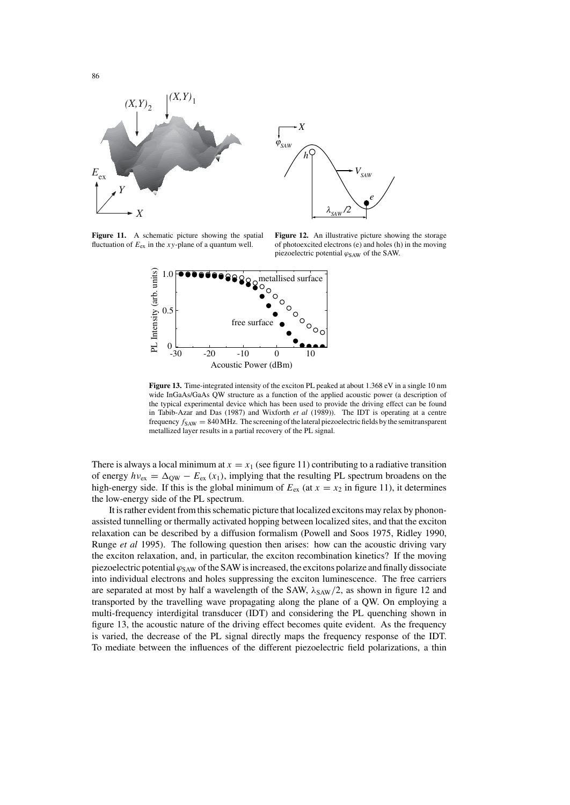



**Figure 11.** A schematic picture showing the spatial fluctuation of  $E_{ex}$  in the xy-plane of a quantum well.

**Figure 12.** An illustrative picture showing the storage of photoexcited electrons (e) and holes (h) in the moving piezoelectric potential  $\varphi_{\text{SAW}}$  of the SAW.



**Figure 13.** Time-integrated intensity of the exciton PL peaked at about 1.368 eV in a single 10 nm wide InGaAs/GaAs QW structure as a function of the applied acoustic power (a description of the typical experimental device which has been used to provide the driving effect can be found in Tabib-Azar and Das (1987) and Wixforth *et al* (1989)). The IDT is operating at a centre frequency  $f_{SAW} = 840 \text{ MHz}$ . The screening of the lateral piezoelectric fields by the semitransparent metallized layer results in a partial recovery of the PL signal.

There is always a local minimum at  $x = x_1$  (see figure 11) contributing to a radiative transition of energy  $hv_{\text{ex}} = \Delta_{\text{QW}} - E_{\text{ex}}(x_1)$ , implying that the resulting PL spectrum broadens on the high-energy side. If this is the global minimum of  $E_{\text{ex}}$  (at  $x = x_2$  in figure 11), it determines the low-energy side of the PL spectrum.

It is rather evident from this schematic picture that localized excitons may relax by phononassisted tunnelling or thermally activated hopping between localized sites, and that the exciton relaxation can be described by a diffusion formalism (Powell and Soos 1975, Ridley 1990, Runge *et al* 1995). The following question then arises: how can the acoustic driving vary the exciton relaxation, and, in particular, the exciton recombination kinetics? If the moving piezoelectric potential  $\varphi_{\text{SAW}}$  of the SAW is increased, the excitons polarize and finally dissociate into individual electrons and holes suppressing the exciton luminescence. The free carriers are separated at most by half a wavelength of the SAW,  $\lambda_{SAW}/2$ , as shown in figure 12 and transported by the travelling wave propagating along the plane of a QW. On employing a multi-frequency interdigital transducer (IDT) and considering the PL quenching shown in figure 13, the acoustic nature of the driving effect becomes quite evident. As the frequency is varied, the decrease of the PL signal directly maps the frequency response of the IDT. To mediate between the influences of the different piezoelectric field polarizations, a thin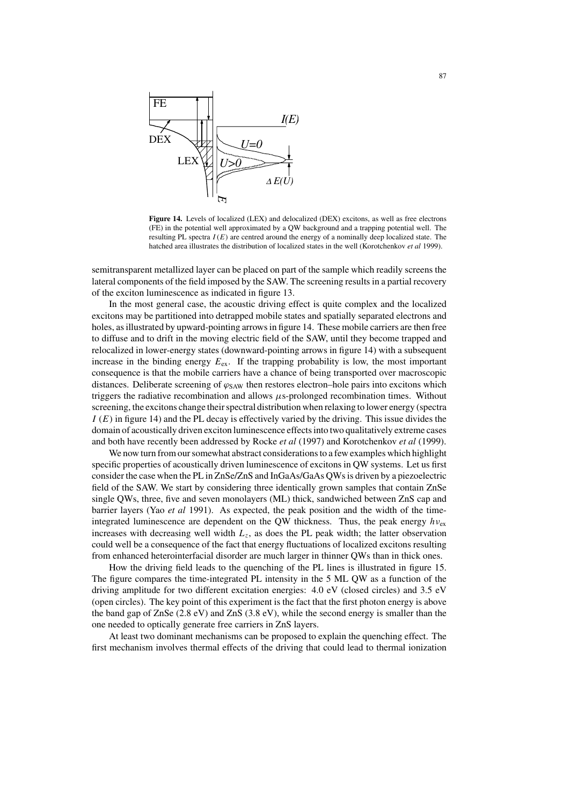

**Figure 14.** Levels of localized (LEX) and delocalized (DEX) excitons, as well as free electrons (FE) in the potential well approximated by a QW background and a trapping potential well. The resulting PL spectra  $I(E)$  are centred around the energy of a nominally deep localized state. The hatched area illustrates the distribution of localized states in the well (Korotchenkov *et al* 1999).

semitransparent metallized layer can be placed on part of the sample which readily screens the lateral components of the field imposed by the SAW. The screening resultsin a partial recovery of the exciton luminescence as indicated in figure 13.

In the most general case, the acoustic driving effect is quite complex and the localized excitons may be partitioned into detrapped mobile states and spatially separated electrons and holes, asillustrated by upward-pointing arrowsin figure 14. These mobile carriers are then free to diffuse and to drift in the moving electric field of the SAW, until they become trapped and relocalized in lower-energy states (downward-pointing arrows in figure 14) with a subsequent increase in the binding energy  $E_{\text{ex}}$ . If the trapping probability is low, the most important consequence is that the mobile carriers have a chance of being transported over macroscopic distances. Deliberate screening of  $\varphi_{\text{SAW}}$  then restores electron–hole pairs into excitons which triggers the radiative recombination and allows  $\mu$ s-prolonged recombination times. Without screening, the excitons change their spectral distribution when relaxing to lower energy (spectra  $I(E)$  in figure 14) and the PL decay is effectively varied by the driving. This issue divides the domain of acoustically driven exciton luminescence effectsinto two qualitatively extreme cases and both have recently been addressed by Rocke *et al* (1997) and Korotchenkov *et al* (1999).

We now turn from our somewhat abstract considerations to a few examples which highlight specific properties of acoustically driven luminescence of excitons in QW systems. Let us first consider the case when the PL in ZnSe/ZnS and InGaAs/GaAs QWsis driven by a piezoelectric field of the SAW. We start by considering three identically grown samples that contain ZnSe single QWs, three, five and seven monolayers (ML) thick, sandwiched between ZnS cap and barrier layers (Yao *et al* 1991). As expected, the peak position and the width of the timeintegrated luminescence are dependent on the QW thickness. Thus, the peak energy  $h v_{\text{ex}}$ increases with decreasing well width  $L_z$ , as does the PL peak width; the latter observation could well be a consequence of the fact that energy fluctuations of localized excitons resulting from enhanced heterointerfacial disorder are much larger in thinner QWs than in thick ones.

How the driving field leads to the quenching of the PL lines is illustrated in figure 15. The figure compares the time-integrated PL intensity in the 5 ML QW as a function of the driving amplitude for two different excitation energies: 4.0 eV (closed circles) and 3.5 eV (open circles). The key point of this experiment is the fact that the first photon energy is above the band gap of ZnSe (2.8 eV) and ZnS (3.8 eV), while the second energy is smaller than the one needed to optically generate free carriers in ZnS layers.

At least two dominant mechanisms can be proposed to explain the quenching effect. The first mechanism involves thermal effects of the driving that could lead to thermal ionization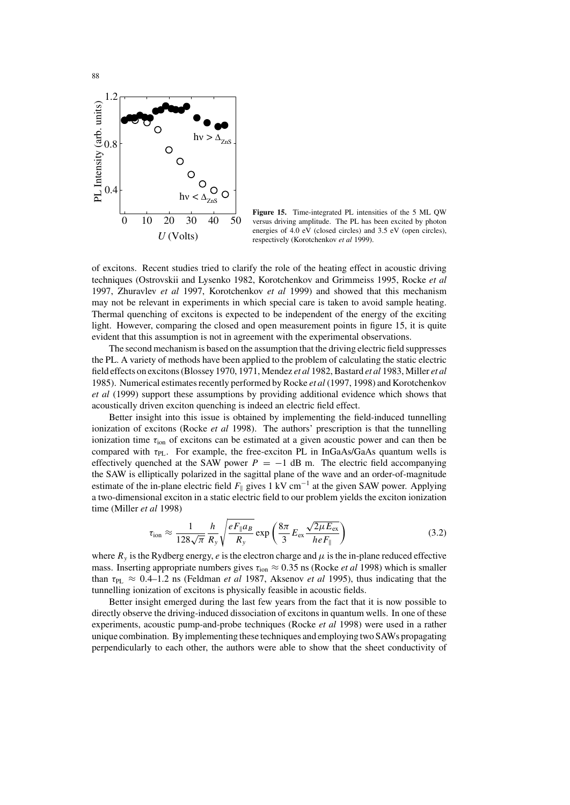

**Figure 15.** Time-integrated PL intensities of the 5 ML QW versus driving amplitude. The PL has been excited by photon energies of 4.0 eV (closed circles) and 3.5 eV (open circles), respectively (Korotchenkov *et al* 1999).

of excitons. Recent studies tried to clarify the role of the heating effect in acoustic driving techniques (Ostrovskii and Lysenko 1982, Korotchenkov and Grimmeiss 1995, Rocke *et al* 1997, Zhuravlev *et al* 1997, Korotchenkov *et al* 1999) and showed that this mechanism may not be relevant in experiments in which special care is taken to avoid sample heating. Thermal quenching of excitons is expected to be independent of the energy of the exciting light. However, comparing the closed and open measurement points in figure 15, it is quite evident that this assumption is not in agreement with the experimental observations.

The second mechanism is based on the assumption that the driving electric field suppresses the PL. A variety of methods have been applied to the problem of calculating the static electric field effects on excitons(Blossey 1970, 1971, Mendez *et al* 1982, Bastard *et al* 1983, Miller *et al* 1985). Numerical estimates recently performed by Rocke *et al* (1997, 1998) and Korotchenkov *et al* (1999) support these assumptions by providing additional evidence which shows that acoustically driven exciton quenching is indeed an electric field effect.

Better insight into this issue is obtained by implementing the field-induced tunnelling ionization of excitons (Rocke *et al* 1998). The authors' prescription is that the tunnelling ionization time  $\tau_{ion}$  of excitons can be estimated at a given acoustic power and can then be compared with  $\tau_{PL}$ . For example, the free-exciton PL in InGaAs/GaAs quantum wells is effectively quenched at the SAW power  $P = -1$  dB m. The electric field accompanying the SAW is elliptically polarized in the sagittal plane of the wave and an order-of-magnitude estimate of the in-plane electric field  $F_{\parallel}$  gives 1 kV cm<sup>-1</sup> at the given SAW power. Applying a two-dimensional exciton in a static electric field to our problem yields the exciton ionization time (Miller *et al* 1998)

$$
\tau_{\rm ion} \approx \frac{1}{128\sqrt{\pi}} \frac{h}{R_y} \sqrt{\frac{eF_{\parallel} a_B}{R_y}} \exp\left(\frac{8\pi}{3} E_{\rm ex} \frac{\sqrt{2\mu E_{\rm ex}}}{heF_{\parallel}}\right) \tag{3.2}
$$

where  $R<sub>y</sub>$  is the Rydberg energy, e is the electron charge and  $\mu$  is the in-plane reduced effective mass. Inserting appropriate numbers gives  $\tau_{ion} \approx 0.35$  ns (Rocke *et al* 1998) which is smaller than  $\tau_{PL} \approx 0.4$ –1.2 ns (Feldman *et al* 1987, Aksenov *et al* 1995), thus indicating that the tunnelling ionization of excitons is physically feasible in acoustic fields.

Better insight emerged during the last few years from the fact that it is now possible to directly observe the driving-induced dissociation of excitons in quantum wells. In one of these experiments, acoustic pump-and-probe techniques (Rocke *et al* 1998) were used in a rather unique combination. By implementing these techniques and employing two SAWs propagating perpendicularly to each other, the authors were able to show that the sheet conductivity of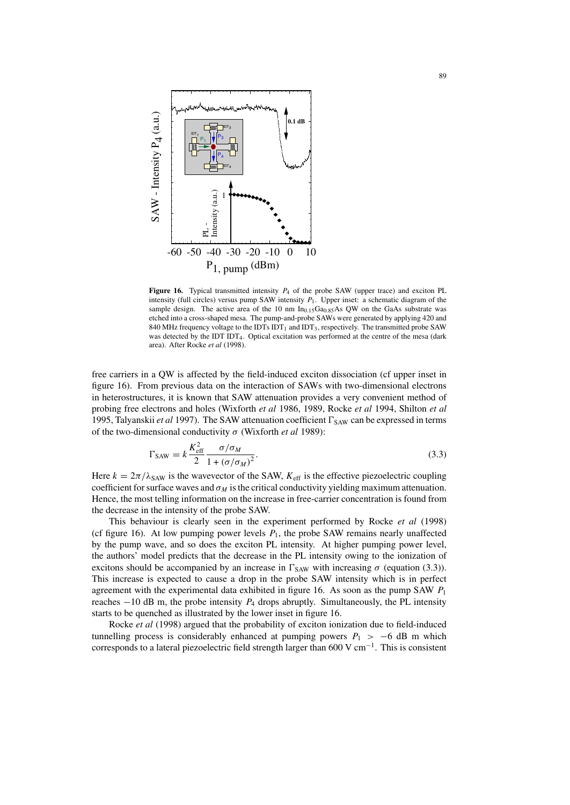

**Figure 16.** Typical transmitted intensity  $P_4$  of the probe SAW (upper trace) and exciton PL intensity (full circles) versus pump SAW intensity  $P_1$ . Upper inset: a schematic diagram of the sample design. The active area of the 10 nm  $In<sub>0.15</sub>Ga<sub>0.85</sub>As QW$  on the GaAs substrate was etched into a cross-shaped mesa. The pump-and-probe SAWs were generated by applying 420 and 840 MHz frequency voltage to the IDTs  $IDT<sub>1</sub>$  and  $IDT<sub>3</sub>$ , respectively. The transmitted probe SAW was detected by the IDT IDT<sub>4</sub>. Optical excitation was performed at the centre of the mesa (dark area). After Rocke *et al* (1998).

free carriers in a QW is affected by the field-induced exciton dissociation (cf upper inset in figure 16). From previous data on the interaction of SAWs with two-dimensional electrons in heterostructures, it is known that SAW attenuation provides a very convenient method of probing free electrons and holes (Wixforth *et al* 1986, 1989, Rocke *et al* 1994, Shilton *et al* 1995, Talyanskii *et al* 1997). The SAW attenuation coefficient  $\Gamma_{SAW}$  can be expressed in terms of the two-dimensional conductivity σ (Wixforth *et al* 1989):

$$
\Gamma_{\text{SAW}} = k \frac{K_{\text{eff}}^2}{2} \frac{\sigma/\sigma_M}{1 + (\sigma/\sigma_M)^2}.
$$
\n(3.3)

Here  $k = 2\pi/\lambda_{SAW}$  is the wavevector of the SAW,  $K_{\text{eff}}$  is the effective piezoelectric coupling coefficient for surface waves and  $\sigma_M$  is the critical conductivity yielding maximum attenuation. Hence, the most telling information on the increase in free-carrier concentration is found from the decrease in the intensity of the probe SAW.

This behaviour is clearly seen in the experiment performed by Rocke *et al* (1998) (cf figure 16). At low pumping power levels  $P_1$ , the probe SAW remains nearly unaffected by the pump wave, and so does the exciton PL intensity. At higher pumping power level, the authors' model predicts that the decrease in the PL intensity owing to the ionization of excitons should be accompanied by an increase in  $\Gamma_{SAW}$  with increasing  $\sigma$  (equation (3.3)). This increase is expected to cause a drop in the probe SAW intensity which is in perfect agreement with the experimental data exhibited in figure 16. As soon as the pump SAW  $P_1$ reaches  $-10$  dB m, the probe intensity  $P_4$  drops abruptly. Simultaneously, the PL intensity starts to be quenched as illustrated by the lower inset in figure 16.

Rocke *et al* (1998) argued that the probability of exciton ionization due to field-induced tunnelling process is considerably enhanced at pumping powers  $P_1$  > −6 dB m which corresponds to a lateral piezoelectric field strength larger than 600 V cm<sup>-1</sup>. This is consistent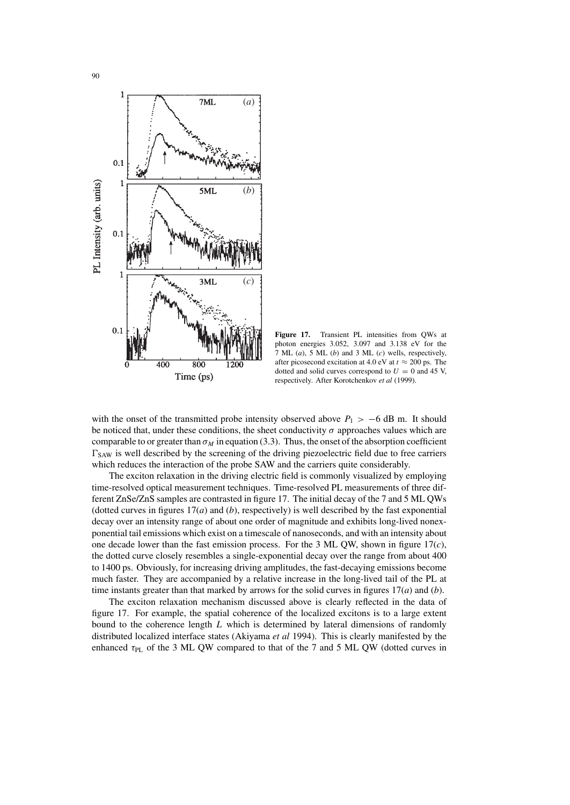



**Figure 17.** Transient PL intensities from QWs at photon energies 3.052, 3.097 and 3.138 eV for the 7 ML (*a*), 5 ML (*b*) and 3 ML (*c*) wells, respectively, after picosecond excitation at 4.0 eV at  $t \approx 200$  ps. The dotted and solid curves correspond to  $U = 0$  and 45 V, respectively. After Korotchenkov *et al* (1999).

with the onset of the transmitted probe intensity observed above  $P_1 > -6$  dB m. It should be noticed that, under these conditions, the sheet conductivity  $\sigma$  approaches values which are comparable to or greater than  $\sigma_M$  in equation (3.3). Thus, the onset of the absorption coefficient  $\Gamma_{\text{SAW}}$  is well described by the screening of the driving piezoelectric field due to free carriers which reduces the interaction of the probe SAW and the carriers quite considerably.

The exciton relaxation in the driving electric field is commonly visualized by employing time-resolved optical measurement techniques. Time-resolved PL measurements of three different ZnSe/ZnS samples are contrasted in figure 17. The initial decay of the 7 and 5 ML QWs (dotted curves in figures  $17(a)$  and  $(b)$ , respectively) is well described by the fast exponential decay over an intensity range of about one order of magnitude and exhibits long-lived nonexponential tail emissions which exist on a timescale of nanoseconds, and with an intensity about one decade lower than the fast emission process. For the 3 ML QW, shown in figure 17(*c*), the dotted curve closely resembles a single-exponential decay over the range from about 400 to 1400 ps. Obviously, for increasing driving amplitudes, the fast-decaying emissions become much faster. They are accompanied by a relative increase in the long-lived tail of the PL at time instants greater than that marked by arrows for the solid curves in figures 17(*a*) and (*b*).

The exciton relaxation mechanism discussed above is clearly reflected in the data of figure 17. For example, the spatial coherence of the localized excitons is to a large extent bound to the coherence length  $L$  which is determined by lateral dimensions of randomly distributed localized interface states (Akiyama *et al* 1994). This is clearly manifested by the enhanced  $\tau_{PL}$  of the 3 ML QW compared to that of the 7 and 5 ML QW (dotted curves in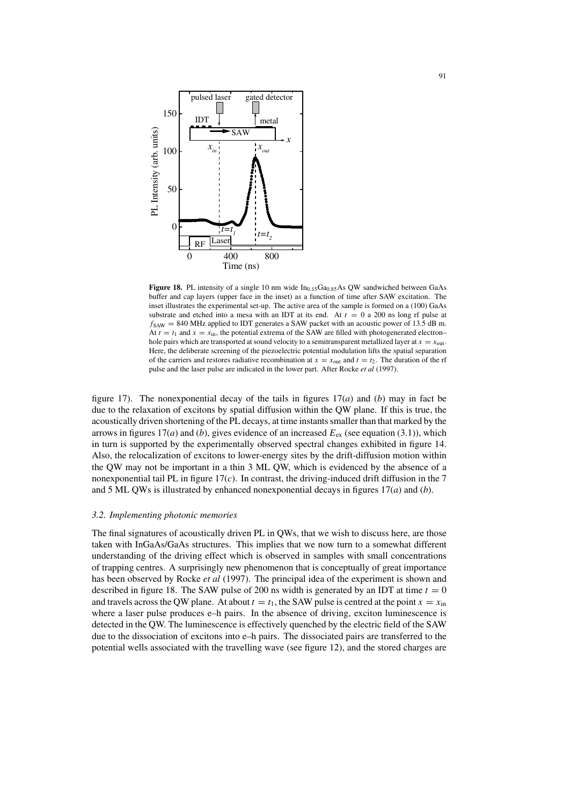

**Figure 18.** PL intensity of a single 10 nm wide  $In_{0.15}Ga_{0.85}As$  QW sandwiched between GaAs buffer and cap layers (upper face in the inset) as a function of time after SAW excitation. The inset illustrates the experimental set-up. The active area of the sample is formed on a (100) GaAs substrate and etched into a mesa with an IDT at its end. At  $t = 0$  a 200 ns long rf pulse at  $f_{SAW}$  = 840 MHz applied to IDT generates a SAW packet with an acoustic power of 13.5 dB m. At  $t = t_1$  and  $x = x_{in}$ , the potential extrema of the SAW are filled with photogenerated electron– hole pairs which are transported at sound velocity to a semitransparent metallized layer at  $x = x_{out}$ . Here, the deliberate screening of the piezoelectric potential modulation lifts the spatial separation of the carriers and restores radiative recombination at  $x = x_{\text{out}}$  and  $t = t_2$ . The duration of the rf pulse and the laser pulse are indicated in the lower part. After Rocke *et al* (1997).

figure 17). The nonexponential decay of the tails in figures 17(*a*) and (*b*) may in fact be due to the relaxation of excitons by spatial diffusion within the QW plane. If this is true, the acoustically driven shortening of the PL decays, at time instantssmaller than that marked by the arrows in figures 17(*a*) and (*b*), gives evidence of an increased  $E_{ex}$  (see equation (3.1)), which in turn is supported by the experimentally observed spectral changes exhibited in figure 14. Also, the relocalization of excitons to lower-energy sites by the drift-diffusion motion within the QW may not be important in a thin 3 ML QW, which is evidenced by the absence of a nonexponential tail PL in figure  $17(c)$ . In contrast, the driving-induced drift diffusion in the 7 and 5 ML QWs is illustrated by enhanced nonexponential decays in figures 17(*a*) and (*b*).

#### *3.2. Implementing photonic memories*

The final signatures of acoustically driven PL in QWs, that we wish to discuss here, are those taken with InGaAs/GaAs structures. This implies that we now turn to a somewhat different understanding of the driving effect which is observed in samples with small concentrations of trapping centres. A surprisingly new phenomenon that is conceptually of great importance has been observed by Rocke *et al* (1997). The principal idea of the experiment is shown and described in figure 18. The SAW pulse of 200 ns width is generated by an IDT at time  $t = 0$ and travels across the QW plane. At about  $t = t_1$ , the SAW pulse is centred at the point  $x = x_{\text{in}}$ where a laser pulse produces e–h pairs. In the absence of driving, exciton luminescence is detected in the QW. The luminescence is effectively quenched by the electric field of the SAW due to the dissociation of excitons into e–h pairs. The dissociated pairs are transferred to the potential wells associated with the travelling wave (see figure 12), and the stored charges are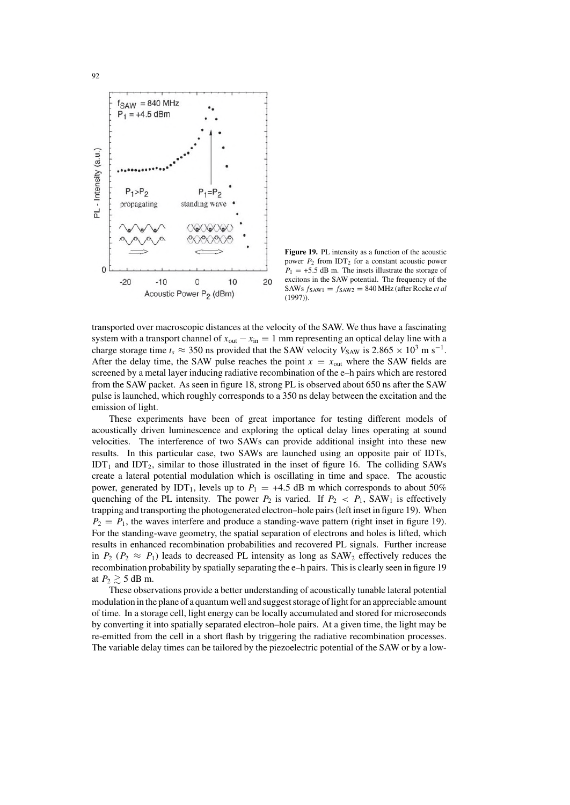

**Figure 19.** PL intensity as a function of the acoustic power  $P_2$  from IDT<sub>2</sub> for a constant acoustic power  $P_1 = +5.5$  dB m. The insets illustrate the storage of excitons in the SAW potential. The frequency of the SAWs  $f_{SAW1} = f_{SAW2} = 840$  MHz (after Rocke *et al* (1997)).

transported over macroscopic distances at the velocity of the SAW. We thus have a fascinating system with a transport channel of  $x_{out} - x_{in} = 1$  mm representing an optical delay line with a charge storage time  $t_s \approx 350$  ns provided that the SAW velocity  $V_{SAW}$  is 2.865  $\times$  10<sup>3</sup> m s<sup>-1</sup>. After the delay time, the SAW pulse reaches the point  $x = x<sub>out</sub>$  where the SAW fields are screened by a metal layer inducing radiative recombination of the e–h pairs which are restored from the SAW packet. As seen in figure 18, strong PL is observed about 650 ns after the SAW pulse is launched, which roughly corresponds to a 350 ns delay between the excitation and the emission of light.

These experiments have been of great importance for testing different models of acoustically driven luminescence and exploring the optical delay lines operating at sound velocities. The interference of two SAWs can provide additional insight into these new results. In this particular case, two SAWs are launched using an opposite pair of IDTs, IDT<sub>1</sub> and IDT<sub>2</sub>, similar to those illustrated in the inset of figure 16. The colliding SAWs create a lateral potential modulation which is oscillating in time and space. The acoustic power, generated by IDT<sub>1</sub>, levels up to  $P_1 = +4.5$  dB m which corresponds to about 50% quenching of the PL intensity. The power  $P_2$  is varied. If  $P_2 < P_1$ , SAW<sub>1</sub> is effectively trapping and transporting the photogenerated electron–hole pairs(left inset in figure 19). When  $P_2 = P_1$ , the waves interfere and produce a standing-wave pattern (right inset in figure 19). For the standing-wave geometry, the spatial separation of electrons and holes is lifted, which results in enhanced recombination probabilities and recovered PL signals. Further increase in  $P_2$  ( $P_2 \approx P_1$ ) leads to decreased PL intensity as long as SAW<sub>2</sub> effectively reduces the recombination probability by spatially separating the e-h pairs. This is clearly seen in figure 19 at  $P_2 \gtrsim 5$  dB m.

These observations provide a better understanding of acoustically tunable lateral potential modulation in the plane of a quantum well and suggest storage of light for an appreciable amount of time. In a storage cell, light energy can be locally accumulated and stored for microseconds by converting it into spatially separated electron–hole pairs. At a given time, the light may be re-emitted from the cell in a short flash by triggering the radiative recombination processes. The variable delay times can be tailored by the piezoelectric potential of the SAW or by a low-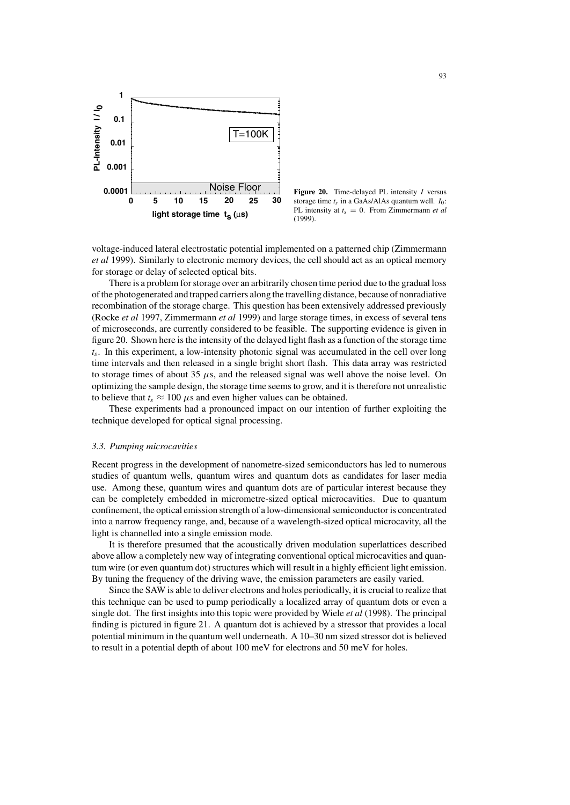

**Figure 20.** Time-delayed PL intensity I versus storage time  $t_s$  in a GaAs/AlAs quantum well.  $I_0$ : PL intensity at  $t_s = 0$ . From Zimmermann *et al* (1999).

voltage-induced lateral electrostatic potential implemented on a patterned chip (Zimmermann *et al* 1999). Similarly to electronic memory devices, the cell should act as an optical memory for storage or delay of selected optical bits.

There is a problem for storage over an arbitrarily chosen time period due to the gradual loss ofthe photogenerated and trapped carriers along the travelling distance, because of nonradiative recombination of the storage charge. This question has been extensively addressed previously (Rocke *et al* 1997, Zimmermann *et al* 1999) and large storage times, in excess of several tens of microseconds, are currently considered to be feasible. The supporting evidence is given in figure 20. Shown here isthe intensity of the delayed light flash as a function of the storage time  $t_s$ . In this experiment, a low-intensity photonic signal was accumulated in the cell over long time intervals and then released in a single bright short flash. This data array was restricted to storage times of about 35  $\mu$ s, and the released signal was well above the noise level. On optimizing the sample design, the storage time seemsto grow, and it istherefore not unrealistic to believe that  $t_s \approx 100 \mu s$  and even higher values can be obtained.

These experiments had a pronounced impact on our intention of further exploiting the technique developed for optical signal processing.

#### *3.3. Pumping microcavities*

Recent progress in the development of nanometre-sized semiconductors has led to numerous studies of quantum wells, quantum wires and quantum dots as candidates for laser media use. Among these, quantum wires and quantum dots are of particular interest because they can be completely embedded in micrometre-sized optical microcavities. Due to quantum confinement, the optical emission strength of a low-dimensional semiconductor is concentrated into a narrow frequency range, and, because of a wavelength-sized optical microcavity, all the light is channelled into a single emission mode.

It is therefore presumed that the acoustically driven modulation superlattices described above allow a completely new way of integrating conventional optical microcavities and quantum wire (or even quantum dot) structures which will result in a highly efficient light emission. By tuning the frequency of the driving wave, the emission parameters are easily varied.

Since the SAW is able to deliver electrons and holes periodically, it is crucial to realize that this technique can be used to pump periodically a localized array of quantum dots or even a single dot. The first insights into this topic were provided by Wiele *et al* (1998). The principal finding is pictured in figure 21. A quantum dot is achieved by a stressor that provides a local potential minimum in the quantum well underneath. A 10–30 nm sized stressor dot is believed to result in a potential depth of about 100 meV for electrons and 50 meV for holes.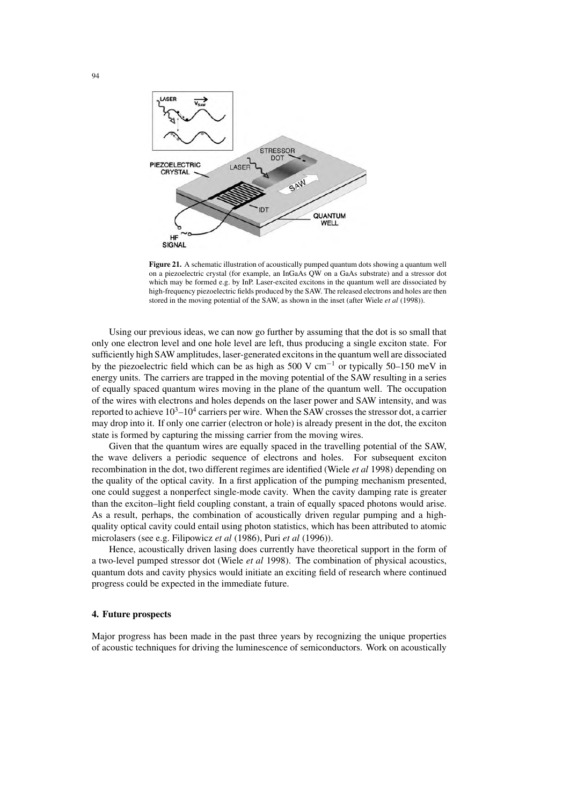

**Figure 21.** A schematic illustration of acoustically pumped quantum dots showing a quantum well on a piezoelectric crystal (for example, an InGaAs QW on a GaAs substrate) and a stressor dot which may be formed e.g. by InP. Laser-excited excitons in the quantum well are dissociated by high-frequency piezoelectric fields produced by the SAW. The released electrons and holes are then stored in the moving potential of the SAW, as shown in the inset (after Wiele *et al* (1998)).

Using our previous ideas, we can now go further by assuming that the dot is so small that only one electron level and one hole level are left, thus producing a single exciton state. For sufficiently high SAW amplitudes, laser-generated excitonsin the quantum well are dissociated by the piezoelectric field which can be as high as 500 V cm−<sup>1</sup> or typically 50–150 meV in energy units. The carriers are trapped in the moving potential of the SAW resulting in a series of equally spaced quantum wires moving in the plane of the quantum well. The occupation of the wires with electrons and holes depends on the laser power and SAW intensity, and was reported to achieve  $10^3 - 10^4$  carriers per wire. When the SAW crosses the stressor dot, a carrier may drop into it. If only one carrier (electron or hole) is already present in the dot, the exciton state is formed by capturing the missing carrier from the moving wires.

Given that the quantum wires are equally spaced in the travelling potential of the SAW, the wave delivers a periodic sequence of electrons and holes. For subsequent exciton recombination in the dot, two different regimes are identified (Wiele *et al* 1998) depending on the quality of the optical cavity. In a first application of the pumping mechanism presented, one could suggest a nonperfect single-mode cavity. When the cavity damping rate is greater than the exciton–light field coupling constant, a train of equally spaced photons would arise. As a result, perhaps, the combination of acoustically driven regular pumping and a highquality optical cavity could entail using photon statistics, which has been attributed to atomic microlasers (see e.g. Filipowicz *et al* (1986), Puri *et al* (1996)).

Hence, acoustically driven lasing does currently have theoretical support in the form of a two-level pumped stressor dot (Wiele *et al* 1998). The combination of physical acoustics, quantum dots and cavity physics would initiate an exciting field of research where continued progress could be expected in the immediate future.

#### **4. Future prospects**

Major progress has been made in the past three years by recognizing the unique properties of acoustic techniques for driving the luminescence of semiconductors. Work on acoustically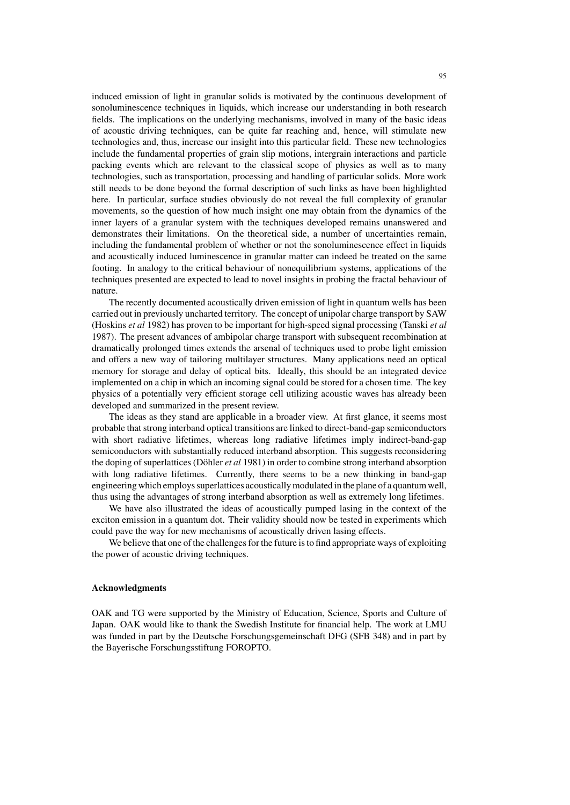induced emission of light in granular solids is motivated by the continuous development of sonoluminescence techniques in liquids, which increase our understanding in both research fields. The implications on the underlying mechanisms, involved in many of the basic ideas of acoustic driving techniques, can be quite far reaching and, hence, will stimulate new technologies and, thus, increase our insight into this particular field. These new technologies include the fundamental properties of grain slip motions, intergrain interactions and particle packing events which are relevant to the classical scope of physics as well as to many technologies, such as transportation, processing and handling of particular solids. More work still needs to be done beyond the formal description of such links as have been highlighted here. In particular, surface studies obviously do not reveal the full complexity of granular movements, so the question of how much insight one may obtain from the dynamics of the inner layers of a granular system with the techniques developed remains unanswered and demonstrates their limitations. On the theoretical side, a number of uncertainties remain, including the fundamental problem of whether or not the sonoluminescence effect in liquids and acoustically induced luminescence in granular matter can indeed be treated on the same footing. In analogy to the critical behaviour of nonequilibrium systems, applications of the techniques presented are expected to lead to novel insights in probing the fractal behaviour of nature.

The recently documented acoustically driven emission of light in quantum wells has been carried out in previously uncharted territory. The concept of unipolar charge transport by SAW (Hoskins *et al* 1982) has proven to be important for high-speed signal processing (Tanski *et al* 1987). The present advances of ambipolar charge transport with subsequent recombination at dramatically prolonged times extends the arsenal of techniques used to probe light emission and offers a new way of tailoring multilayer structures. Many applications need an optical memory for storage and delay of optical bits. Ideally, this should be an integrated device implemented on a chip in which an incoming signal could be stored for a chosen time. The key physics of a potentially very efficient storage cell utilizing acoustic waves has already been developed and summarized in the present review.

The ideas as they stand are applicable in a broader view. At first glance, it seems most probable thatstrong interband optical transitions are linked to direct-band-gap semiconductors with short radiative lifetimes, whereas long radiative lifetimes imply indirect-band-gap semiconductors with substantially reduced interband absorption. This suggests reconsidering the doping of superlattices (Döhler *et al* 1981) in order to combine strong interband absorption with long radiative lifetimes. Currently, there seems to be a new thinking in band-gap engineering which employssuperlattices acousticallymodulated in the plane of a quantumwell, thus using the advantages of strong interband absorption as well as extremely long lifetimes.

We have also illustrated the ideas of acoustically pumped lasing in the context of the exciton emission in a quantum dot. Their validity should now be tested in experiments which could pave the way for new mechanisms of acoustically driven lasing effects.

We believe that one of the challenges for the future is to find appropriate ways of exploiting the power of acoustic driving techniques.

#### **Acknowledgments**

OAK and TG were supported by the Ministry of Education, Science, Sports and Culture of Japan. OAK would like to thank the Swedish Institute for financial help. The work at LMU was funded in part by the Deutsche Forschungsgemeinschaft DFG (SFB 348) and in part by the Bayerische Forschungsstiftung FOROPTO.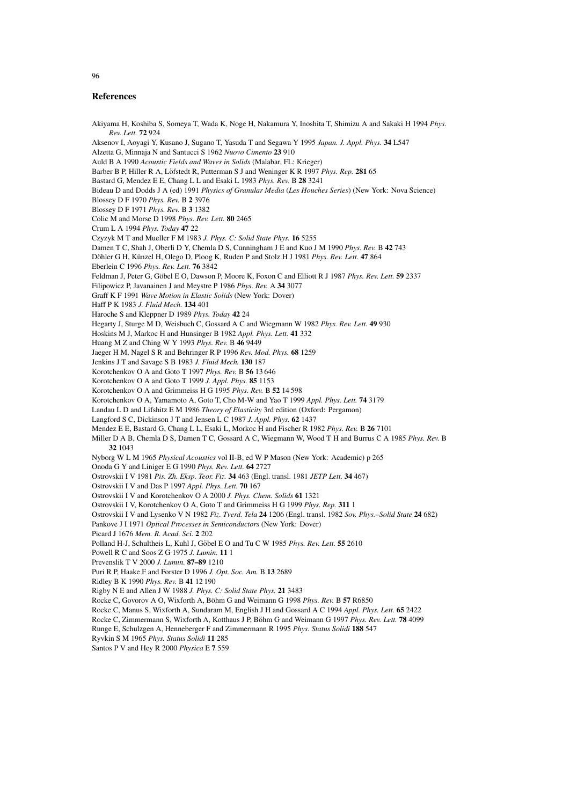#### **References**

Akiyama H, Koshiba S, Someya T, Wada K, Noge H, Nakamura Y, Inoshita T, Shimizu A and Sakaki H 1994 *Phys. Rev. Lett.* **72** 924 Aksenov I, Aoyagi Y, Kusano J, Sugano T, Yasuda T and Segawa Y 1995 *Japan. J. Appl. Phys.* **34** L547 Alzetta G, Minnaja N and Santucci S 1962 *Nuovo Cimento* **23** 910 Auld B A 1990 *Acoustic Fields and Waves in Solids* (Malabar, FL: Krieger) Barber B P, Hiller R A, Löfstedt R, Putterman S J and Weninger K R 1997 *Phys. Rep.* 281 65 Bastard G, Mendez E E, Chang L L and Esaki L 1983 *Phys. Rev.* B **28** 3241 Bideau D and Dodds J A (ed) 1991 *Physics of Granular Media* (*Les Houches Series*) (New York: Nova Science) Blossey D F 1970 *Phys. Rev.* B **2** 3976 Blossey D F 1971 *Phys. Rev.* B **3** 1382 Colic M and Morse D 1998 *Phys. Rev. Lett.* **80** 2465 Crum L A 1994 *Phys. Today* **47** 22 Czyzyk M T and Mueller F M 1983 *J. Phys. C: Solid State Phys.* **16** 5255 Damen T C, Shah J, Oberli D Y, Chemla D S, Cunningham J E and Kuo J M 1990 *Phys. Rev.* B **42** 743 Döhler G H, Künzel H, Olego D, Ploog K, Ruden P and Stolz H J 1981 Phys. Rev. Lett. 47 864 Eberlein C 1996 *Phys. Rev. Lett.* **76** 3842 Feldman J, Peter G, Göbel E O, Dawson P, Moore K, Foxon C and Elliott R J 1987 *Phys. Rev. Lett.* 59 2337 Filipowicz P, Javanainen J and Meystre P 1986 *Phys. Rev.* A **34** 3077 Graff K F 1991 *Wave Motion in Elastic Solids* (New York: Dover) Haff P K 1983 *J. Fluid Mech.* **134** 401 Haroche S and Kleppner D 1989 *Phys. Today* **42** 24 Hegarty J, Sturge M D, Weisbuch C, Gossard A C and Wiegmann W 1982 *Phys. Rev. Lett.* **49** 930 Hoskins M J, Markoc H and Hunsinger B 1982 *Appl. Phys. Lett.* **41** 332 Huang M Z and Ching W Y 1993 *Phys. Rev.* B **46** 9449 Jaeger H M, Nagel S R and Behringer R P 1996 *Rev. Mod. Phys.* **68** 1259 Jenkins J T and Savage S B 1983 *J. Fluid Mech.* **130** 187 Korotchenkov O A and Goto T 1997 *Phys. Rev.* B **56** 13 646 Korotchenkov O A and Goto T 1999 *J. Appl. Phys.* **85** 1153 Korotchenkov O A and Grimmeiss H G 1995 *Phys. Rev.* B **52** 14 598 Korotchenkov O A, Yamamoto A, Goto T, Cho M-W and Yao T 1999 *Appl. Phys. Lett.* **74** 3179 Landau L D and Lifshitz E M 1986 *Theory of Elasticity* 3rd edition (Oxford: Pergamon) Langford S C, Dickinson J T and Jensen L C 1987 *J. Appl. Phys.* **62** 1437 Mendez E E, Bastard G, Chang L L, Esaki L, Morkoc H and Fischer R 1982 *Phys. Rev.* B **26** 7101 Miller D A B, Chemla D S, Damen T C, Gossard A C, Wiegmann W, Wood T H and Burrus C A 1985 *Phys. Rev.* B **32** 1043 Nyborg W L M 1965 *Physical Acoustics* vol II-B, ed W P Mason (New York: Academic) p 265 Onoda G Y and Liniger E G 1990 *Phys. Rev. Lett.* **64** 2727 Ostrovskii I V 1981 *Pis. Zh. Eksp. Teor. Fiz.* **34** 463 (Engl. transl. 1981 *JETP Lett.* **34** 467) Ostrovskii I V and Das P 1997 *Appl. Phys. Lett.* **70** 167 Ostrovskii I V and Korotchenkov O A 2000 *J. Phys. Chem. Solids* **61** 1321 Ostrovskii I V, Korotchenkov O A, Goto T and Grimmeiss H G 1999 *Phys. Rep.* **311** 1 Ostrovskii I V and Lysenko V N 1982 *Fiz. Tverd. Tela* **24** 1206 (Engl. transl. 1982 *Sov. Phys.–Solid State* **24** 682) Pankove J I 1971 *Optical Processes in Semiconductors* (New York: Dover) Picard J 1676 *Mem. R. Acad. Sci.* **2** 202 Polland H-J, Schultheis L, Kuhl J, Göbel E O and Tu C W 1985 Phys. Rev. Lett. 55 2610 Powell R C and Soos Z G 1975 *J. Lumin.* **11** 1 Prevenslik T V 2000 *J. Lumin.* **87–89** 1210 Puri R P, Haake F and Forster D 1996 *J. Opt. Soc. Am.* B **13** 2689 Ridley B K 1990 *Phys. Rev.* B **41** 12 190 Rigby N E and Allen J W 1988 *J. Phys. C: Solid State Phys.* **21** 3483 Rocke C, Govorov A O, Wixforth A, Böhm G and Weimann G 1998 Phys. Rev. B 57 R6850 Rocke C, Manus S, Wixforth A, Sundaram M, English J H and Gossard A C 1994 *Appl. Phys. Lett.* **65** 2422 Rocke C, Zimmermann S, Wixforth A, Kotthaus J P, Böhm G and Weimann G 1997 *Phys. Rev. Lett.* **78** 4099 Runge E, Schulzgen A, Henneberger F and Zimmermann R 1995 *Phys. Status Solidi* **188** 547 Ryvkin S M 1965 *Phys. Status Solidi* **11** 285 Santos P V and Hey R 2000 *Physica* E **7** 559